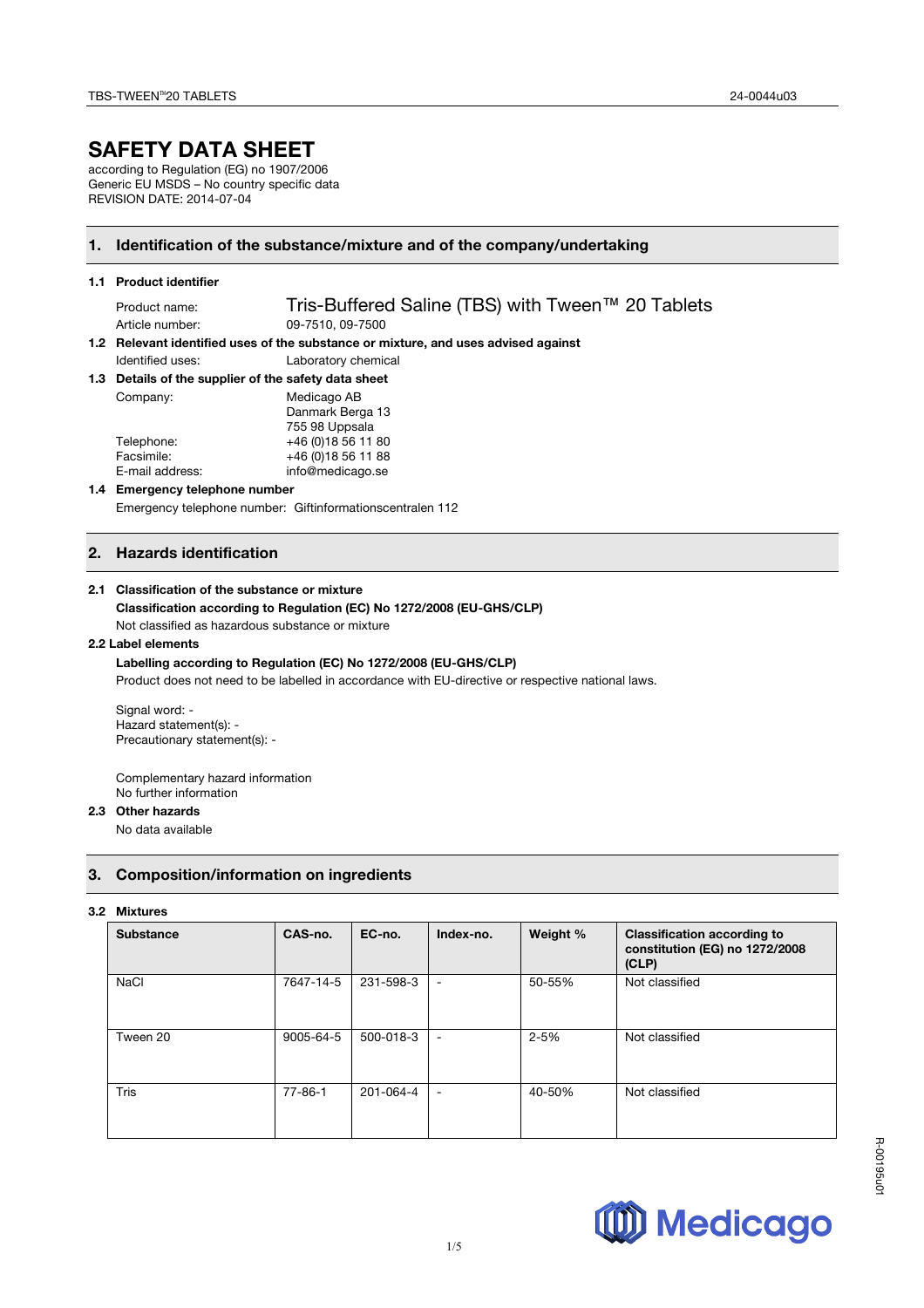# **SAFETY DATA SHEET**

according to Regulation (EG) no 1907/2006 Generic EU MSDS – No country specific data REVISION DATE: 2014-07-04

# **1. Identification of the substance/mixture and of the company/undertaking**

#### **1.1 Product identifier**

Product name: Tris-Buffered Saline (TBS) with Tween™ 20 Tablets Article number: 09-7510, 09-7500

**1.2 Relevant identified uses of the substance or mixture, and uses advised against**  Identified uses: Laboratory chemical

#### **1.3 Details of the supplier of the safety data sheet**

| Company:        | Medicago AB         |  |
|-----------------|---------------------|--|
|                 | Danmark Berga 13    |  |
|                 | 755 98 Uppsala      |  |
| Telephone:      | +46 (0) 18 56 11 80 |  |
| Facsimile:      | +46 (0) 18 56 11 88 |  |
| E-mail address: | info@medicago.se    |  |

#### **1.4 Emergency telephone number**

Emergency telephone number: Giftinformationscentralen 112

## **2. Hazards identification**

#### **2.1 Classification of the substance or mixture**

# **Classification according to Regulation (EC) No 1272/2008 (EU-GHS/CLP)**

Not classified as hazardous substance or mixture

## **2.2 Label elements**

# **Labelling according to Regulation (EC) No 1272/2008 (EU-GHS/CLP)**

Product does not need to be labelled in accordance with EU-directive or respective national laws.

Signal word: - Hazard statement(s): - Precautionary statement(s): -

Complementary hazard information No further information

# **2.3 Other hazards**

No data available

# **3. Composition/information on ingredients**

#### **3.2 Mixtures**

| <b>Substance</b> | CAS-no.       | EC-no.    | Index-no.                | Weight % | <b>Classification according to</b><br>constitution (EG) no 1272/2008<br>(CLP) |
|------------------|---------------|-----------|--------------------------|----------|-------------------------------------------------------------------------------|
| <b>NaCl</b>      | 7647-14-5     | 231-598-3 | $\overline{\phantom{m}}$ | 50-55%   | Not classified                                                                |
| Tween 20         | 9005-64-5     | 500-018-3 | $\overline{\phantom{m}}$ | $2 - 5%$ | Not classified                                                                |
| <b>Tris</b>      | $77 - 86 - 1$ | 201-064-4 | $\overline{\phantom{a}}$ | 40-50%   | Not classified                                                                |



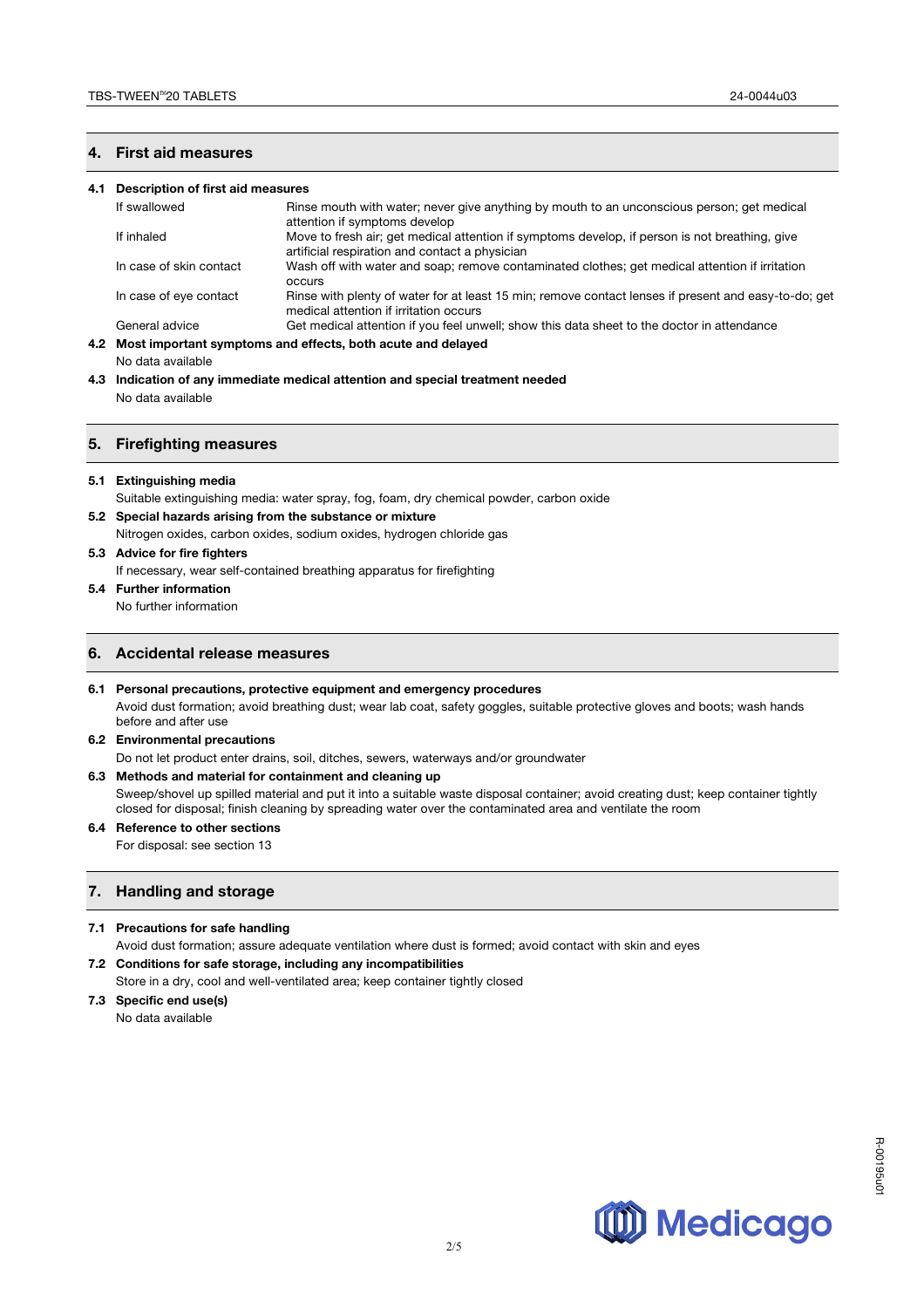## **4. First aid measures**

#### **4.1 Description of first aid measures**

| <b>OCCULS</b>                                                                                                                                                            |
|--------------------------------------------------------------------------------------------------------------------------------------------------------------------------|
| Rinse with plenty of water for at least 15 min; remove contact lenses if present and easy-to-do; get<br>In case of eye contact<br>medical attention if irritation occurs |
| Get medical attention if you feel unwell; show this data sheet to the doctor in attendance                                                                               |
| General advice<br>4.2 Most important symptoms and effects, both acute and delayed                                                                                        |

No data available

**4.3 Indication of any immediate medical attention and special treatment needed** No data available

#### **5. Firefighting measures**

**5.1 Extinguishing media** 

Suitable extinguishing media: water spray, fog, foam, dry chemical powder, carbon oxide

- **5.2 Special hazards arising from the substance or mixture**
- Nitrogen oxides, carbon oxides, sodium oxides, hydrogen chloride gas
- **5.3 Advice for fire fighters**

If necessary, wear self-contained breathing apparatus for firefighting

**5.4 Further information**

No further information

# **6. Accidental release measures**

#### **6.1 Personal precautions, protective equipment and emergency procedures**

Avoid dust formation; avoid breathing dust; wear lab coat, safety goggles, suitable protective gloves and boots; wash hands before and after use

#### **6.2 Environmental precautions**

Do not let product enter drains, soil, ditches, sewers, waterways and/or groundwater

#### **6.3 Methods and material for containment and cleaning up**

Sweep/shovel up spilled material and put it into a suitable waste disposal container; avoid creating dust; keep container tightly closed for disposal; finish cleaning by spreading water over the contaminated area and ventilate the room

### **6.4 Reference to other sections**

For disposal: see section 13

# **7. Handling and storage**

#### **7.1 Precautions for safe handling**

Avoid dust formation; assure adequate ventilation where dust is formed; avoid contact with skin and eyes **7.2 Conditions for safe storage, including any incompatibilities** 

Store in a dry, cool and well-ventilated area; keep container tightly closed

#### **7.3 Specific end use(s)**  No data available

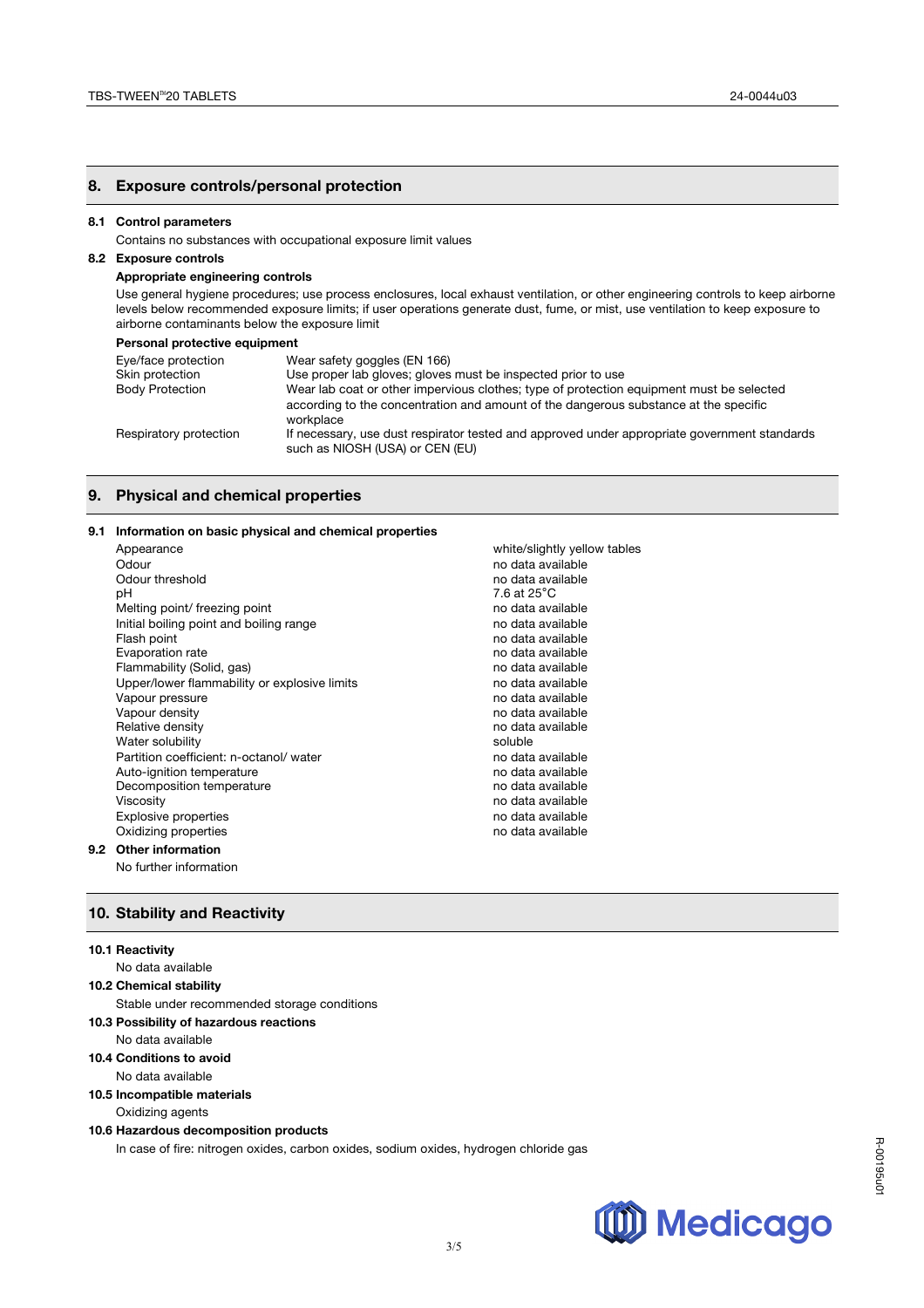#### **8. Exposure controls/personal protection**

#### **8.1 Control parameters**

Contains no substances with occupational exposure limit values

## **8.2 Exposure controls**

#### **Appropriate engineering controls**

Use general hygiene procedures; use process enclosures, local exhaust ventilation, or other engineering controls to keep airborne levels below recommended exposure limits; if user operations generate dust, fume, or mist, use ventilation to keep exposure to airborne contaminants below the exposure limit

#### **Personal protective equipment**

| Eye/face protection    | Wear safety goggles (EN 166)                                                                                                                                                                  |
|------------------------|-----------------------------------------------------------------------------------------------------------------------------------------------------------------------------------------------|
| Skin protection        | Use proper lab gloves; gloves must be inspected prior to use                                                                                                                                  |
| <b>Body Protection</b> | Wear lab coat or other impervious clothes; type of protection equipment must be selected<br>according to the concentration and amount of the dangerous substance at the specific<br>workplace |
| Respiratory protection | If necessary, use dust respirator tested and approved under appropriate government standards<br>such as NIOSH (USA) or CEN (EU)                                                               |

## **9. Physical and chemical properties**

#### **9.1 Information on basic physical and chemical properties**

| Appearance                                   | white/slightly yellow tables |
|----------------------------------------------|------------------------------|
| Odour                                        | no data available            |
| Odour threshold                              | no data available            |
| рH                                           | 7.6 at 25°C                  |
| Melting point/ freezing point                | no data available            |
| Initial boiling point and boiling range      | no data available            |
| Flash point                                  | no data available            |
| Evaporation rate                             | no data available            |
| Flammability (Solid, gas)                    | no data available            |
| Upper/lower flammability or explosive limits | no data available            |
| Vapour pressure                              | no data available            |
| Vapour density                               | no data available            |
| Relative density                             | no data available            |
| Water solubility                             | soluble                      |
| Partition coefficient: n-octanol/water       | no data available            |
| Auto-ignition temperature                    | no data available            |
| Decomposition temperature                    | no data available            |
| Viscosity                                    | no data available            |
| <b>Explosive properties</b>                  | no data available            |
| Oxidizing properties                         | no data available            |
| Other information                            |                              |

# **9.2**

No further information

### **10. Stability and Reactivity**

#### **10.1 Reactivity**

No data available

### **10.2 Chemical stability**

Stable under recommended storage conditions

#### **10.3 Possibility of hazardous reactions**

No data available

# **10.4 Conditions to avoid**

No data available

**10.5 Incompatible materials** 

# Oxidizing agents

# **10.6 Hazardous decomposition products**

In case of fire: nitrogen oxides, carbon oxides, sodium oxides, hydrogen chloride gas



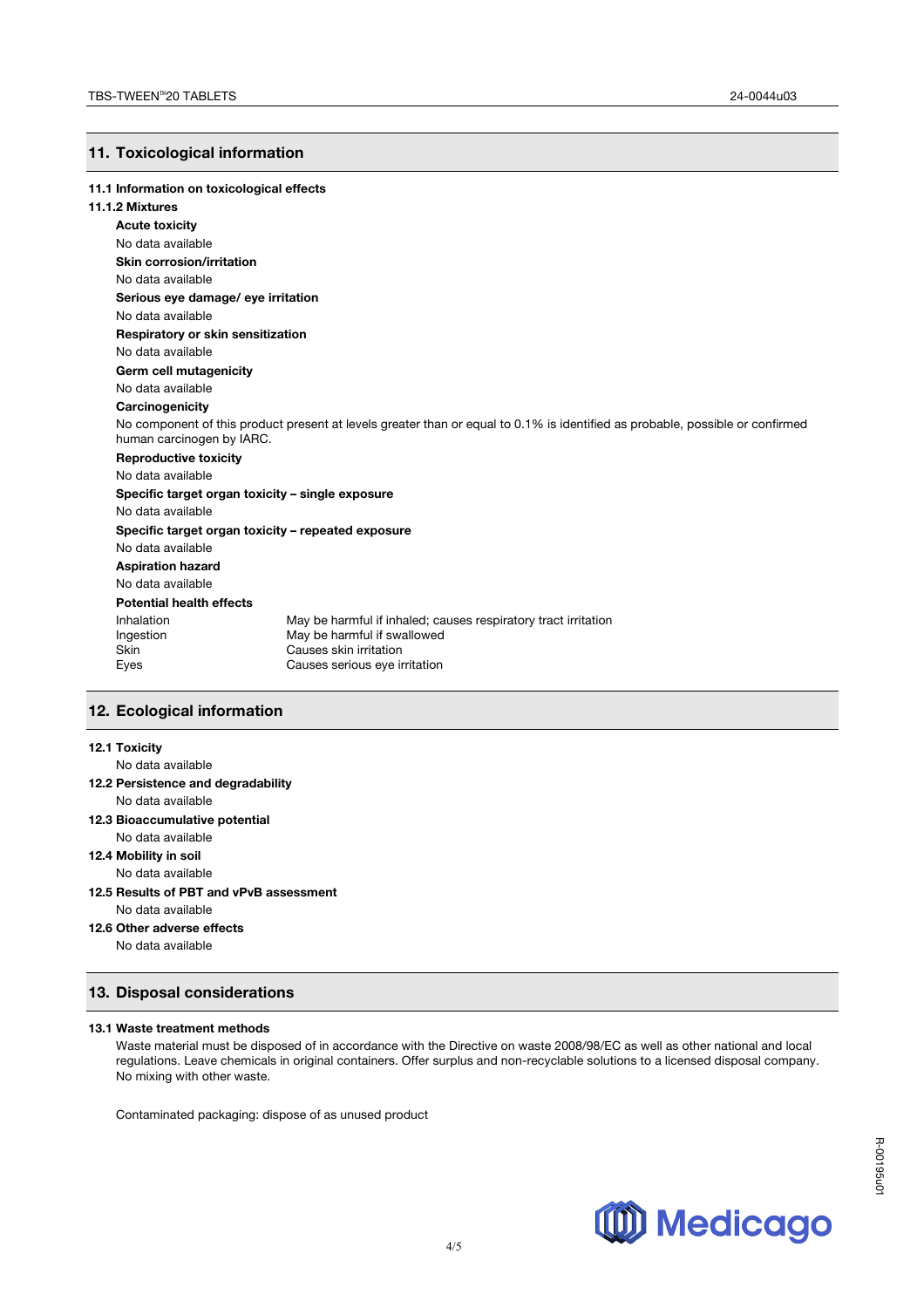# **11. Toxicological information**

| 11.1 Information on toxicological effects |                                                                                                                               |
|-------------------------------------------|-------------------------------------------------------------------------------------------------------------------------------|
| 11.1.2 Mixtures                           |                                                                                                                               |
| <b>Acute toxicity</b>                     |                                                                                                                               |
| No data available                         |                                                                                                                               |
| Skin corrosion/irritation                 |                                                                                                                               |
| No data available                         |                                                                                                                               |
| Serious eye damage/ eye irritation        |                                                                                                                               |
| No data available                         |                                                                                                                               |
| Respiratory or skin sensitization         |                                                                                                                               |
| No data available                         |                                                                                                                               |
| Germ cell mutagenicity                    |                                                                                                                               |
| No data available                         |                                                                                                                               |
| Carcinogenicity                           |                                                                                                                               |
| human carcinogen by IARC.                 | No component of this product present at levels greater than or equal to 0.1% is identified as probable, possible or confirmed |
| <b>Reproductive toxicity</b>              |                                                                                                                               |
| No data available                         |                                                                                                                               |
|                                           | Specific target organ toxicity - single exposure                                                                              |
| No data available                         |                                                                                                                               |
|                                           | Specific target organ toxicity - repeated exposure                                                                            |
| No data available                         |                                                                                                                               |
| <b>Aspiration hazard</b>                  |                                                                                                                               |
| No data available                         |                                                                                                                               |
| <b>Potential health effects</b>           |                                                                                                                               |
| Inhalation                                | May be harmful if inhaled; causes respiratory tract irritation                                                                |
| Ingestion<br>Skin                         | May be harmful if swallowed<br>Causes skin irritation                                                                         |
| Eyes                                      | Causes serious eye irritation                                                                                                 |

# **12. Ecological information**

#### **12.1 Toxicity**

No data available **12.2 Persistence and degradability** No data available **12.3 Bioaccumulative potential** No data available **12.4 Mobility in soil** No data available **12.5 Results of PBT and vPvB assessment** No data available **12.6 Other adverse effects**

# No data available

# **13. Disposal considerations**

#### **13.1 Waste treatment methods**

Waste material must be disposed of in accordance with the Directive on waste 2008/98/EC as well as other national and local regulations. Leave chemicals in original containers. Offer surplus and non-recyclable solutions to a licensed disposal company. No mixing with other waste.

Contaminated packaging: dispose of as unused product